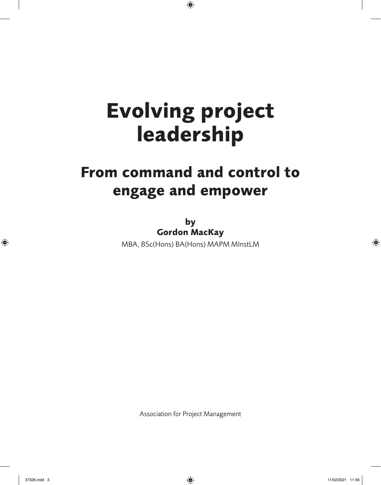$\bigoplus$ 

## **From command and control to engage and empower**

**by Gordon MacKay** MBA, BSc(Hons) BA(Hons) MAPM MInstLM

Association for Project Management

 $\bigoplus$ 

37326.indd 3 11/02/2021 11:56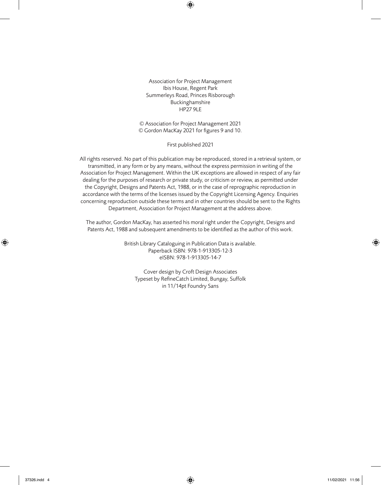$\bigoplus$ 

Association for Project Management Ibis House, Regent Park Summerleys Road, Princes Risborough Buckinghamshire HP27 9LE

© Association for Project Management 2021 © Gordon MacKay 2021 for figures 9 and 10.

First published 2021

All rights reserved. No part of this publication may be reproduced, stored in a retrieval system, or transmitted, in any form or by any means, without the express permission in writing of the Association for Project Management. Within the UK exceptions are allowed in respect of any fair dealing for the purposes of research or private study, or criticism or review, as permitted under the Copyright, Designs and Patents Act, 1988, or in the case of reprographic reproduction in accordance with the terms of the licenses issued by the Copyright Licensing Agency. Enquiries concerning reproduction outside these terms and in other countries should be sent to the Rights Department, Association for Project Management at the address above.

The author, Gordon MacKay, has asserted his moral right under the Copyright, Designs and Patents Act, 1988 and subsequent amendments to be identified as the author of this work.

> British Library Cataloguing in Publication Data is available. Paperback ISBN: 978-1-913305-12-3 eISBN: 978-1-913305-14-7

Cover design by Croft Design Associates Typeset by RefineCatch Limited, Bungay, Suffolk in 11/14pt Foundry Sans

⊕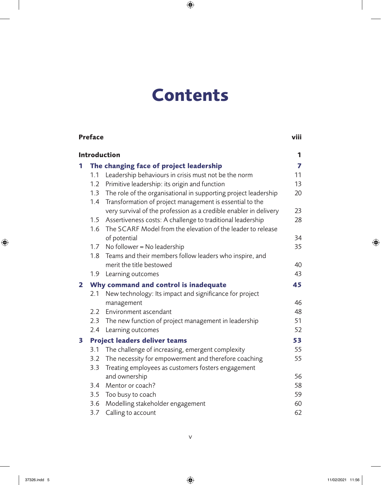## **Contents**

 $\bigoplus$ 

|                     | Preface                               |                                                                                                                                 |                         |  |  |
|---------------------|---------------------------------------|---------------------------------------------------------------------------------------------------------------------------------|-------------------------|--|--|
| <b>Introduction</b> |                                       |                                                                                                                                 |                         |  |  |
| 1                   |                                       | The changing face of project leadership                                                                                         | $\overline{\mathbf{z}}$ |  |  |
|                     | 1.1                                   | Leadership behaviours in crisis must not be the norm                                                                            | 11                      |  |  |
|                     | 1.2                                   | Primitive leadership: its origin and function                                                                                   | 13                      |  |  |
|                     | 1.3                                   | The role of the organisational in supporting project leadership<br>1.4 Transformation of project management is essential to the | 20                      |  |  |
|                     |                                       | very survival of the profession as a credible enabler in delivery                                                               | 23                      |  |  |
|                     | 1.5<br>1.6                            | Assertiveness costs: A challenge to traditional leadership<br>The SCARF Model from the elevation of the leader to release       | 28                      |  |  |
|                     |                                       | of potential                                                                                                                    | 34                      |  |  |
|                     |                                       | 1.7 No follower = No leadership                                                                                                 | 35                      |  |  |
|                     | 1.8                                   | Teams and their members follow leaders who inspire, and                                                                         |                         |  |  |
|                     |                                       | merit the title bestowed                                                                                                        | 40                      |  |  |
|                     | 1.9                                   | Learning outcomes                                                                                                               | 43                      |  |  |
| 2                   | Why command and control is inadequate |                                                                                                                                 |                         |  |  |
|                     | 2.1                                   | New technology: Its impact and significance for project<br>management                                                           | 46                      |  |  |
|                     |                                       | 2.2 Environment ascendant                                                                                                       | 48                      |  |  |
|                     |                                       | 2.3 The new function of project management in leadership                                                                        | 51                      |  |  |
|                     |                                       | 2.4 Learning outcomes                                                                                                           | 52                      |  |  |
| 3                   | Project leaders deliver teams         |                                                                                                                                 |                         |  |  |
|                     | 3.1                                   | The challenge of increasing, emergent complexity                                                                                | 55                      |  |  |
|                     | 3.2                                   | The necessity for empowerment and therefore coaching                                                                            | 55                      |  |  |
|                     | 3.3                                   | Treating employees as customers fosters engagement                                                                              |                         |  |  |
|                     |                                       | and ownership                                                                                                                   | 56                      |  |  |
|                     | 3.4                                   | Mentor or coach?                                                                                                                | 58                      |  |  |
|                     |                                       | 3.5 Too busy to coach                                                                                                           | 59                      |  |  |
|                     | 3.6                                   | Modelling stakeholder engagement                                                                                                | 60                      |  |  |
|                     | 3.7                                   | Calling to account                                                                                                              | 62                      |  |  |

 $\overline{\phantom{a}}$ 

 $\bigoplus$ 

 $\begin{array}{c} \hline \end{array}$ 

 $\bigoplus$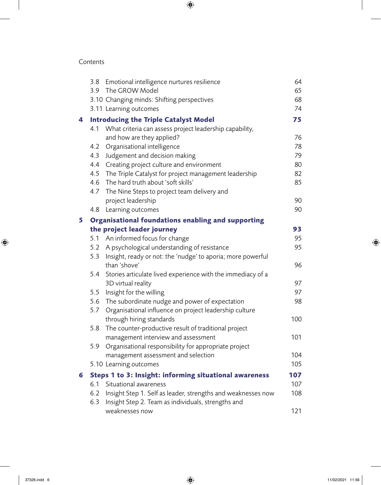$\bigoplus$ 

### Contents

 $\overline{\phantom{a}}$ 

 $\bigoplus$ 

|   | 3.8                                                    | Emotional intelligence nurtures resilience                      | 64         |
|---|--------------------------------------------------------|-----------------------------------------------------------------|------------|
|   | 3.9                                                    | The GROW Model                                                  | 65         |
|   |                                                        | 3.10 Changing minds: Shifting perspectives                      | 68         |
|   |                                                        | 3.11 Learning outcomes                                          | 74         |
| 4 |                                                        | <b>Introducing the Triple Catalyst Model</b>                    | 75         |
|   | 4.1                                                    | What criteria can assess project leadership capability,         |            |
|   |                                                        | and how are they applied?                                       | 76         |
|   | 4.2                                                    | Organisational intelligence                                     | 78         |
|   | 4.3                                                    | Judgement and decision making                                   | 79         |
|   | 4.4                                                    | Creating project culture and environment                        | 80         |
|   | 4.5                                                    | The Triple Catalyst for project management leadership           | 82         |
|   | 4.6                                                    | The hard truth about 'soft skills'                              | 85         |
|   | 4.7                                                    | The Nine Steps to project team delivery and                     |            |
|   |                                                        | project leadership                                              | 90         |
|   | 4.8                                                    | Learning outcomes                                               | 90         |
| 5 |                                                        | Organisational foundations enabling and supporting              |            |
|   |                                                        | the project leader journey                                      | 93         |
|   |                                                        | 5.1 An informed focus for change                                | 95         |
|   |                                                        | 5.2 A psychological understanding of resistance                 | 95         |
|   |                                                        | 5.3 Insight, ready or not: the 'nudge' to aporia; more powerful |            |
|   |                                                        | than 'shove'                                                    | 96         |
|   | 5.4                                                    | Stories articulate lived experience with the immediacy of a     |            |
|   |                                                        | 3D virtual reality                                              | 97         |
|   | 5.5                                                    | Insight for the willing                                         | 97         |
|   | 5.6                                                    | The subordinate nudge and power of expectation                  | 98         |
|   | 5.7                                                    | Organisational influence on project leadership culture          |            |
|   |                                                        | through hiring standards                                        | 100        |
|   | 5.8                                                    | The counter-productive result of traditional project            |            |
|   |                                                        | management interview and assessment                             | 101        |
|   | 5.9                                                    | Organisational responsibility for appropriate project           |            |
|   |                                                        | management assessment and selection                             | 104        |
|   |                                                        | 5.10 Learning outcomes                                          | 105<br>107 |
| 6 | Steps 1 to 3: Insight: informing situational awareness |                                                                 |            |
|   | 6.1                                                    | Situational awareness                                           | 107        |
|   | 6.2                                                    | Insight Step 1. Self as leader, strengths and weaknesses now    | 108        |
|   | 6.3                                                    | Insight Step 2. Team as individuals, strengths and              |            |
|   |                                                        | weaknesses now                                                  | 121        |

 $\overline{\phantom{a}}$ 

 $\bigoplus$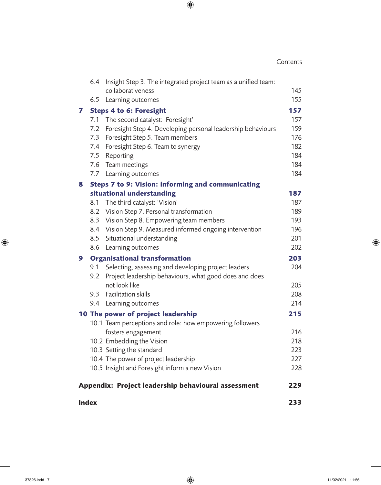### Contents

 $\overline{\phantom{a}}$ 

 $\bigoplus$ 

|                                                     | <b>Index</b>                         |                                                                            |            |  |
|-----------------------------------------------------|--------------------------------------|----------------------------------------------------------------------------|------------|--|
| Appendix: Project leadership behavioural assessment |                                      |                                                                            |            |  |
|                                                     |                                      | 10.5 Insight and Foresight inform a new Vision                             | 228        |  |
|                                                     |                                      | 10.4 The power of project leadership                                       | 227        |  |
|                                                     |                                      | 10.3 Setting the standard                                                  | 223        |  |
|                                                     |                                      | 10.2 Embedding the Vision                                                  | 218        |  |
|                                                     |                                      | fosters engagement                                                         | 216        |  |
|                                                     |                                      | 10.1 Team perceptions and role: how empowering followers                   |            |  |
|                                                     |                                      | 10 The power of project leadership                                         | 215        |  |
|                                                     |                                      | 9.4 Learning outcomes                                                      | 214        |  |
|                                                     | 9.3                                  | <b>Facilitation skills</b>                                                 | 208        |  |
|                                                     |                                      | not look like                                                              | 205        |  |
|                                                     | 9.2                                  | Project leadership behaviours, what good does and does                     |            |  |
|                                                     | 9.1                                  | Selecting, assessing and developing project leaders                        | 204        |  |
| 9                                                   | <b>Organisational transformation</b> |                                                                            | 203        |  |
|                                                     |                                      | 8.6 Learning outcomes                                                      | 202        |  |
|                                                     |                                      | 8.5 Situational understanding                                              | 201        |  |
|                                                     |                                      | 8.4 Vision Step 9. Measured informed ongoing intervention                  | 196        |  |
|                                                     | 8.3                                  | Vision Step 8. Empowering team members                                     | 193        |  |
|                                                     | 8.1                                  | The third catalyst: 'Vision'<br>8.2 Vision Step 7. Personal transformation | 189        |  |
|                                                     |                                      | situational understanding                                                  | 187<br>187 |  |
| 8                                                   |                                      | Steps 7 to 9: Vision: informing and communicating                          |            |  |
|                                                     | 7.7                                  | Learning outcomes                                                          |            |  |
|                                                     |                                      | 7.6 Team meetings                                                          | 184<br>184 |  |
|                                                     |                                      | 7.5 Reporting                                                              | 184        |  |
|                                                     |                                      | 7.4 Foresight Step 6. Team to synergy                                      | 182        |  |
|                                                     |                                      | 7.3 Foresight Step 5. Team members                                         | 176        |  |
|                                                     |                                      | 7.2 Foresight Step 4. Developing personal leadership behaviours            | 159        |  |
|                                                     |                                      | 7.1 The second catalyst: 'Foresight'                                       | 157        |  |
| 7                                                   | <b>Steps 4 to 6: Foresight</b>       |                                                                            |            |  |
|                                                     | 6.5                                  | Learning outcomes                                                          | 155        |  |
|                                                     |                                      | collaborativeness                                                          | 145        |  |
|                                                     | 6.4                                  | Insight Step 3. The integrated project team as a unified team:             |            |  |

 $\bigoplus$ 

 $\overline{\phantom{a}}$ 

 $\bigoplus$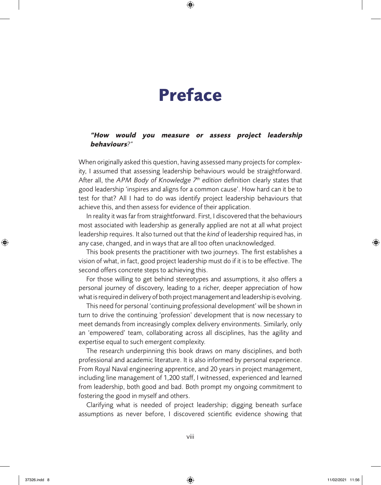## **Preface**

 $\bigoplus$ 

#### **"How would you measure or assess project leadership behaviours***?"*

When originally asked this question, having assessed many projects for complexity, I assumed that assessing leadership behaviours would be straightforward. After all, the *APM Body of Knowledge 7 th edition* definition clearly states that good leadership 'inspires and aligns for a common cause'. How hard can it be to test for that? All I had to do was identify project leadership behaviours that achieve this, and then assess for evidence of their application.

In reality it wasfar from straightforward. First, I discovered that the behaviours most associated with leadership as generally applied are not at all what project leadership requires. It also turned out that the *kind* of leadership required has, in any case, changed, and in ways that are all too often unacknowledged.

This book presents the practitioner with two journeys. The first establishes a vision of what, in fact, good project leadership must do if it is to be effective. The second offers concrete steps to achieving this.

For those willing to get behind stereotypes and assumptions, it also offers a personal journey of discovery, leading to a richer, deeper appreciation of how what is required in delivery of both project management and leadership is evolving.

This need for personal 'continuing professional development' will be shown in turn to drive the continuing 'profession' development that is now necessary to meet demands from increasingly complex delivery environments. Similarly, only an 'empowered' team, collaborating across all disciplines, has the agility and expertise equal to such emergent complexity.

The research underpinning this book draws on many disciplines, and both professional and academic literature. It is also informed by personal experience. From Royal Naval engineering apprentice, and 20 years in project management, including line management of 1,200 staff, I witnessed, experienced and learned from leadership, both good and bad. Both prompt my ongoing commitment to fostering the good in myself and others.

Clarifying what is needed of project leadership; digging beneath surface assumptions as never before, I discovered scientific evidence showing that

⊕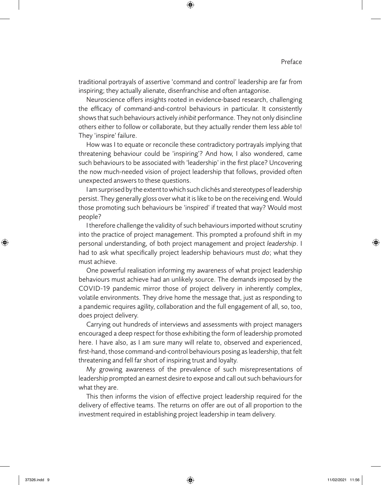#### Preface

traditional portrayals of assertive 'command and control' leadership are far from inspiring; they actually alienate, disenfranchise and often antagonise.

 $\bigoplus$ 

Neuroscience offers insights rooted in evidence-based research, challenging the efficacy of command-and-control behaviours in particular. It consistently showsthatsuch behaviours actively *inhibit* performance. They not only disincline others either to follow or collaborate, but they actually render them less *able* to! They 'inspire' failure.

How was I to equate or reconcile these contradictory portrayals implying that threatening behaviour could be 'inspiring'? And how, I also wondered, came such behaviours to be associated with 'leadership' in the first place? Uncovering the now much-needed vision of project leadership that follows, provided often unexpected answers to these questions.

I am surprised by the extent to which such clichés and stereotypes of leadership persist. They generally gloss over what it is like to be on the receiving end. Would those promoting such behaviours be 'inspired' if treated that way? Would most people?

I therefore challenge the validity of such behaviours imported without scrutiny into the practice of project management. This prompted a profound shift in my personal understanding, of both project management and project *leadership*. I had to ask what specifically project leadership behaviours must *do*; what they must achieve.

One powerful realisation informing my awareness of what project leadership behaviours must achieve had an unlikely source. The demands imposed by the COVID-19 pandemic mirror those of project delivery in inherently complex, volatile environments. They drive home the message that, just as responding to a pandemic requires agility, collaboration and the full engagement of all, so, too, does project delivery.

Carrying out hundreds of interviews and assessments with project managers encouraged a deep respect for those exhibiting the form of leadership promoted here. I have also, as I am sure many will relate to, observed and experienced, first-hand, those command-and-control behaviours posing asleadership, that felt threatening and fell far short of inspiring trust and loyalty.

My growing awareness of the prevalence of such misrepresentations of leadership prompted an earnest desire to expose and call out such behaviours for what they are.

This then informs the vision of effective project leadership required for the delivery of effective teams. The returns on offer are out of all proportion to the investment required in establishing project leadership in team delivery.

⊕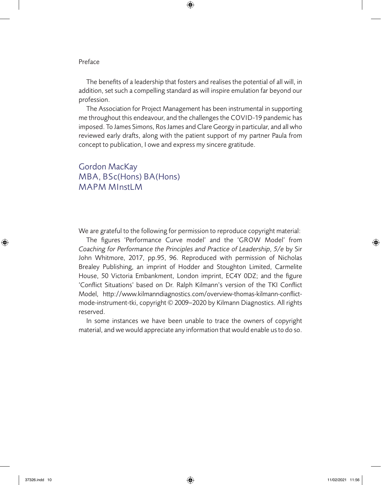#### Preface

The benefits of a leadership that fosters and realises the potential of all will, in addition, set such a compelling standard as will inspire emulation far beyond our profession.

 $\bigoplus$ 

The Association for Project Management has been instrumental in supporting me throughout this endeavour, and the challenges the COVID-19 pandemic has imposed. To James Simons, Ros James and Clare Georgy in particular, and all who reviewed early drafts, along with the patient support of my partner Paula from concept to publication, I owe and express my sincere gratitude.

### Gordon MacKay MBA, BSc(Hons) BA(Hons) MAPM MInstLM

We are grateful to the following for permission to reproduce copyright material:

The figures 'Performance Curve model' and the 'GROW Model' from *Coaching for Performance the Principles and Practice of Leadership, 5/e* by Sir John Whitmore, 2017, pp.95, 96. Reproduced with permission of Nicholas Brealey Publishing, an imprint of Hodder and Stoughton Limited, Carmelite House, 50 Victoria Embankment, London imprint, EC4Y 0DZ; and the figure 'Conflict Situations' based on Dr. Ralph Kilmann's version of the TKI Conflict Model, http://www.kilmanndiagnostics.com/overview-thomas-kilmann-conflictmode-instrument-tki, copyright © 2009–2020 by Kilmann Diagnostics. All rights reserved.

In some instances we have been unable to trace the owners of copyright material, and we would appreciate any information that would enable usto do so.

⊕

37326.indd 10 11/02/2021 11:56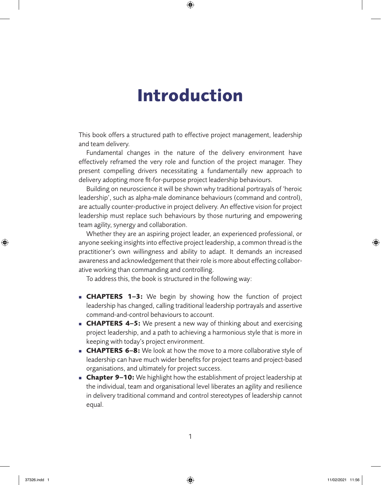## **Introduction**

 $\bigoplus$ 

This book offers a structured path to effective project management, leadership and team delivery.

Fundamental changes in the nature of the delivery environment have effectively reframed the very role and function of the project manager. They present compelling drivers necessitating a fundamentally new approach to delivery adopting more fit-for-purpose project leadership behaviours.

Building on neuroscience it will be shown why traditional portrayals of 'heroic leadership', such as alpha-male dominance behaviours (command and control), are actually counter-productive in project delivery. An effective vision for project leadership must replace such behaviours by those nurturing and empowering team agility, synergy and collaboration.

Whether they are an aspiring project leader, an experienced professional, or anyone seeking insights into effective project leadership, a common thread is the practitioner's own willingness and ability to adapt. It demands an increased awareness and acknowledgement that their role is more about effecting collaborative working than commanding and controlling.

To address this, the book is structured in the following way:

- **CHAPTERS 1–3:** We begin by showing how the function of project leadership has changed, calling traditional leadership portrayals and assertive command-and-control behaviours to account.
- **CHAPTERS 4–5:** We present a new way of thinking about and exercising project leadership, and a path to achieving a harmonious style that is more in keeping with today's project environment.
- **CHAPTERS 6–8:** We look at how the move to a more collaborative style of leadership can have much wider benefits for project teams and project-based organisations, and ultimately for project success.
- **Chapter 9–10:** We highlight how the establishment of project leadership at the individual, team and organisational level liberates an agility and resilience in delivery traditional command and control stereotypes of leadership cannot equal.

⊕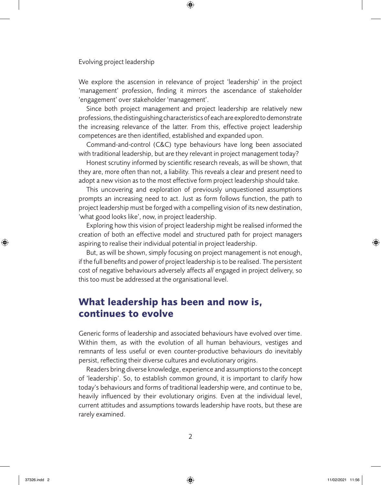We explore the ascension in relevance of project 'leadership' in the project 'management' profession, finding it mirrors the ascendance of stakeholder 'engagement' over stakeholder 'management'.

 $\bigoplus$ 

Since both project management and project leadership are relatively new professions, the distinguishing characteristics of each are explored to demonstrate the increasing relevance of the latter. From this, effective project leadership competences are then identified, established and expanded upon.

Command-and-control (C&C) type behaviours have long been associated with traditional leadership, but are they relevant in project management today?

Honest scrutiny informed by scientific research reveals, as will be shown, that they are, more often than not, a liability. This reveals a clear and present need to adopt a new vision as to the most effective form project leadership should take.

This uncovering and exploration of previously unquestioned assumptions prompts an increasing need to act. Just as form follows function, the path to project leadership must be forged with a compelling vision of its new destination, 'what good looks like', now, in project leadership.

Exploring how this vision of project leadership might be realised informed the creation of both an effective model and structured path for project managers aspiring to realise their individual potential in project leadership.

But, as will be shown, simply focusing on project management is not enough, if the full benefits and power of project leadership isto be realised. The persistent cost of negative behaviours adversely affects *all* engaged in project delivery, so this too must be addressed at the organisational level.

## **What leadership has been and now is, continues to evolve**

Generic forms of leadership and associated behaviours have evolved over time. Within them, as with the evolution of all human behaviours, vestiges and remnants of less useful or even counter-productive behaviours do inevitably persist, reflecting their diverse cultures and evolutionary origins.

Readers bring diverse knowledge, experience and assumptionsto the concept of 'leadership'. So, to establish common ground, it is important to clarify how today's behaviours and forms of traditional leadership were, and continue to be, heavily influenced by their evolutionary origins. Even at the individual level, current attitudes and assumptions towards leadership have roots, but these are rarely examined.

⊕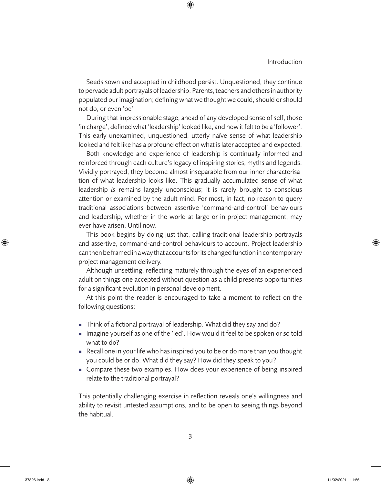#### Introduction

Seeds sown and accepted in childhood persist. Unquestioned, they continue to pervade adult portrayals of leadership. Parents, teachers and others in authority populated our imagination; defining what we thought we could, should or should not do, or even 'be'

 $\bigoplus$ 

During that impressionable stage, ahead of any developed sense of self, those 'in charge', defined what 'leadership' looked like, and how it felt to be a'follower'. This early unexamined, unquestioned, utterly naïve sense of what leadership looked and felt like has a profound effect on what islater accepted and expected.

Both knowledge and experience of leadership is continually informed and reinforced through each culture's legacy of inspiring stories, myths and legends. Vividly portrayed, they become almost inseparable from our inner characterisation of what leadership looks like. This gradually accumulated sense of what leadership *is* remains largely unconscious; it is rarely brought to conscious attention or examined by the adult mind. For most, in fact, no reason to query traditional associations between assertive 'command-and-control' behaviours and leadership, whether in the world at large or in project management, may ever have arisen. Until now.

This book begins by doing just that, calling traditional leadership portrayals and assertive, command-and-control behaviours to account. Project leadership can then be framed in a way that accounts for its changed function in contemporary project management delivery.

Although unsettling, reflecting maturely through the eyes of an experienced adult on things one accepted without question as a child presents opportunities for a significant evolution in personal development.

At this point the reader is encouraged to take a moment to reflect on the following questions:

- $\blacksquare$  Think of a fictional portrayal of leadership. What did they say and do?
- n Imagine yourself as one of the 'led'. How would it feel to be spoken or so told what to do?
- n Recall one in your life who has inspired you to be or do more than you thought you could be or do. What did they say? How did they speak to you?
- Compare these two examples. How does your experience of being inspired relate to the traditional portrayal?

This potentially challenging exercise in reflection reveals one's willingness and ability to revisit untested assumptions, and to be open to seeing things beyond the habitual.

⊕

37326.indd 3 11/02/2021 11:56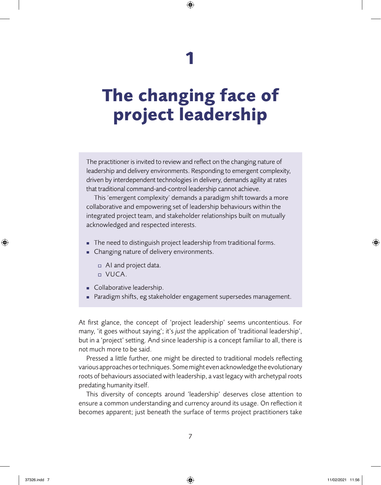## **1**

 $\bigoplus$ 

## **The changing face of project leadership**

The practitioner is invited to review and reflect on the changing nature of leadership and delivery environments. Responding to emergent complexity, driven by interdependent technologies in delivery, demands agility at rates that traditional command-and-control leadership cannot achieve.

This 'emergent complexity' demands a paradigm shift towards a more collaborative and empowering set of leadership behaviours within the integrated project team, and stakeholder relationships built on mutually acknowledged and respected interests.

- The need to distinguish project leadership from traditional forms.
- Changing nature of delivery environments.
	- $\Box$  AI and project data.
	- <sup>o</sup> VUCA.
- **n** Collaborative leadership.
- Paradigm shifts, eg stakeholder engagement supersedes management.

At first glance, the concept of 'project leadership' seems uncontentious. For many, 'it goes without saying'; it's *just* the application of 'traditional leadership', but in a 'project' setting. And since leadership is a concept familiar to all, there is not much more to be said.

Pressed a little further, one might be directed to traditional models reflecting various approaches or techniques. Some might even acknowledge the evolutionary roots of behaviours associated with leadership, a vast legacy with archetypal roots predating humanity itself.

This diversity of concepts around 'leadership' deserves close attention to ensure a common understanding and currency around its usage. On reflection it becomes apparent; just beneath the surface of terms project practitioners take

⊕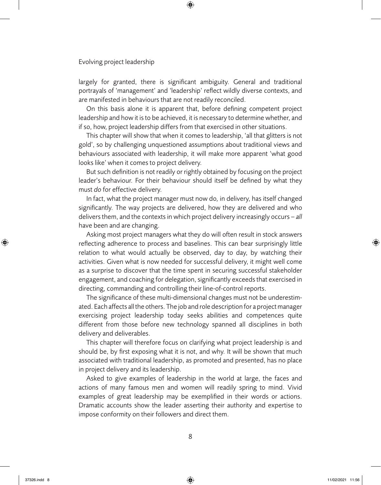largely for granted, there is significant ambiguity. General and traditional portrayals of 'management' and 'leadership' reflect wildly diverse contexts, and are manifested in behaviours that are not readily reconciled.

 $\bigoplus$ 

On this basis alone it is apparent that, before defining competent project leadership and how it isto be achieved, it is necessary to determine whether, and if so, how, project leadership differs from that exercised in other situations.

This chapter will show that when it comes to leadership, 'all that glitters is not gold', so by challenging unquestioned assumptions about traditional views and behaviours associated with leadership, it will make more apparent 'what good looks like' when it comes to project delivery.

But such definition is not readily or rightly obtained by focusing on the project leader's behaviour. For their behaviour should itself be defined by what they must *do* for effective delivery.

In fact, what the project manager must now do*,* in delivery, has itself changed significantly. The way projects are delivered, how they are delivered and who deliversthem, and the contextsin which project delivery increasingly occurs – *all* have been and are changing.

Asking most project managers what they do will often result in stock answers reflecting adherence to process and baselines. This can bear surprisingly little relation to what would actually be observed, day to day, by watching their activities. Given what is now needed for successful delivery, it might well come as a surprise to discover that the time spent in securing successful stakeholder engagement, and coaching for delegation, significantly exceeds that exercised in directing, commanding and controlling their line-of-control reports.

The significance of these multi-dimensional changes must not be underestimated. Each affects all the others. The job and role description for a project manager exercising project leadership today seeks abilities and competences quite different from those before new technology spanned all disciplines in both delivery and deliverables.

This chapter will therefore focus on clarifying what project leadership is and should be, by first exposing what it is not, and why. It will be shown that much associated with traditional leadership, as promoted and presented, has no place in project delivery and its leadership.

Asked to give examples of leadership in the world at large, the faces and actions of many famous men and women will readily spring to mind. Vivid examples of great leadership may be exemplified in their words or actions. Dramatic accounts show the leader asserting their authority and expertise to impose conformity on their followers and direct them.

⊕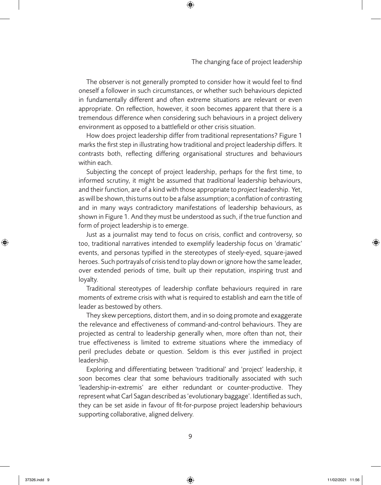#### The changing face of project leadership

The observer is not generally prompted to consider how it would feel to find oneself a follower in such circumstances, or whether such behaviours depicted in fundamentally different and often extreme situations are relevant or even appropriate. On reflection, however, it soon becomes apparent that there is a tremendous difference when considering such behaviours in a project delivery environment as opposed to a battlefield or other crisis situation.

 $\bigoplus$ 

How does project leadership differ from traditional representations? Figure 1 marks the first step in illustrating how traditional and project leadership differs. It contrasts both, reflecting differing organisational structures and behaviours within each.

Subjecting the concept of project leadership, perhaps for the first time, to informed scrutiny, it might be assumed that *traditional* leadership behaviours, and their function, are of a kind with those appropriate to *project* leadership. Yet, as will be shown, thisturns out to be afalse assumption; aconflation of contrasting and in many ways contradictory manifestations of leadership behaviours, as shown in Figure 1. And they must be understood as such, if the true function and form of project leadership is to emerge.

Just as a journalist may tend to focus on crisis, conflict and controversy, so too, traditional narratives intended to exemplify leadership focus on 'dramatic' events, and personas typified in the stereotypes of steely-eyed, square-jawed heroes. Such portrayals of crisis tend to play down or ignore how the same leader, over extended periods of time, built up their reputation, inspiring trust and loyalty.

Traditional stereotypes of leadership conflate behaviours required in rare moments of extreme crisis with what is required to establish and earn the title of leader as bestowed by others.

They skew perceptions, distort them, and in so doing promote and exaggerate the relevance and effectiveness of command-and-control behaviours. They are projected as central to leadership generally when, more often than not, their true effectiveness is limited to extreme situations where the immediacy of peril precludes debate or question. Seldom is this ever justified in project leadership.

Exploring and differentiating between 'traditional' and 'project' leadership, it soon becomes clear that some behaviours traditionally associated with such 'leadership-in-extremis' are either redundant or counter-productive. They represent what Carl Sagan described as 'evolutionary baggage'. Identified as such, they can be set aside in favour of fit-for-purpose project leadership behaviours supporting collaborative, aligned delivery.

⊕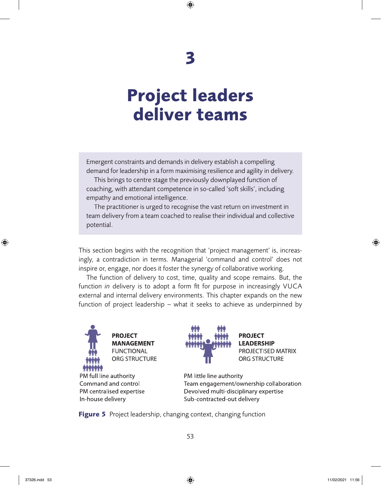# **3**

 $\bigoplus$ 

## **Project leaders deliver teams**

Emergent constraints and demandsin delivery establish a compelling demand for leadership in a form maximising resilience and agility in delivery.

This brings to centre stage the previously downplayed function of coaching, with attendant competence in so-called 'soft skills', including empathy and emotional intelligence.

The practitioner is urged to recognise the vast return on investment in team delivery from a team coached to realise their individual and collective potential.

This section begins with the recognition that 'project management' is, increasingly, a contradiction in terms. Managerial 'command and control' does not inspire or, engage, nor does it foster the synergy of collaborative working.

The function of delivery to cost, time, quality and scope remains. But, the function *in* delivery is to adopt a form fit for purpose in increasingly VUCA external and internal delivery environments. This chapter expands on the new function of project leadership – what it seeks to achieve as underpinned by



PM full line authority Command and control PM centralised expertise In-house delivery



**PROJECT LEADERSHIP** PROJECTISED MATRIX ORG STRUCTURE

PM little line authority Team engagement/ownership collaboration Devolved multi-disciplinary expertise Sub-contracted-out delivery

**Figure 5** Project leadership, changing context, changing function

⊕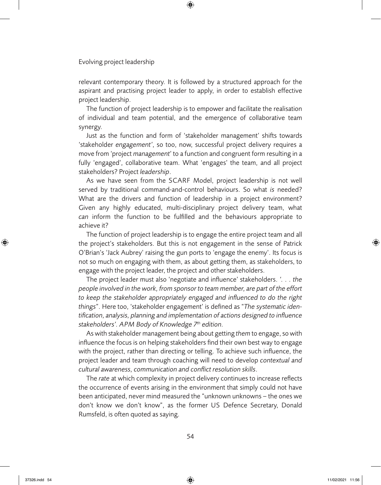relevant contemporary theory. It is followed by a structured approach for the aspirant and practising project leader to apply, in order to establish effective project leadership.

 $\bigoplus$ 

The function of project leadership is to empower and facilitate the realisation of individual and team potential, and the emergence of collaborative team synergy.

Just as the function and form of 'stakeholder management' shifts towards 'stakeholder *engagement'*, so too, now, successful project delivery requires a move from 'project *management'* to a function and congruent form resulting in a fully 'engaged', collaborative team. What 'engages' the team, and all project stakeholders? Project *leadership*.

As we have seen from the SCARF Model, project leadership is not well served by traditional command-and-control behaviours. So what *is* needed? What are the drivers and function of leadership in a project environment? Given any highly educated, multi-disciplinary project delivery team, what *can* inform the function to be fulfilled and the behaviours appropriate to achieve it?

The function of project leadership is to engage the entire project team and all the project's stakeholders. But this is not engagement in the sense of Patrick O'Brian's 'Jack Aubrey' raising the gun ports to 'engage the enemy'. Its focus is not so much on engaging with them, as about getting them, as stakeholders, to engage with the project leader, the project and other stakeholders.

The project leader must also 'negotiate and influence' stakeholders. *'. . . the people involved in the work, from sponsor to team member, are part of the effort to keep the stakeholder appropriately engaged and influenced to do the right things*". Here too, 'stakeholder engagement' is defined as "*The systematic identification, analysis, planning and implementation of actions designed to influence stakeholders'. APM Body of Knowledge 7 th edition.*

As with stakeholder management being about getting them to engage, so with influence the focus is on helping stakeholders find their own best way to engage with the project, rather than directing or telling. To achieve such influence, the project leader and team through coaching will need to develop *contextual and cultural awareness, communication and conflict resolution skills*.

The *rate* at which complexity in project delivery continues to increase reflects the occurrence of events arising in the environment that simply could not have been anticipated, never mind measured the "unknown unknowns – the ones we don't know we don't know", as the former US Defence Secretary, Donald Rumsfeld, is often quoted as saying.

⊕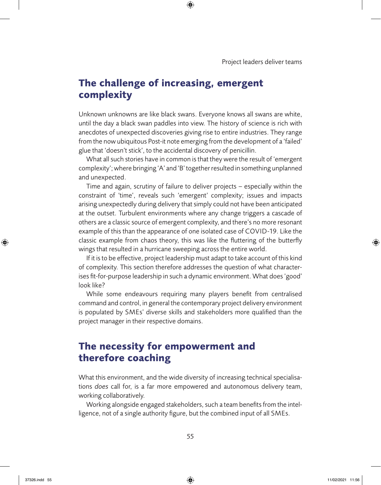Project leaders deliver teams

## **The challenge of increasing, emergent complexity**

Unknown unknowns are like black swans. Everyone knows all swans are white, until the day a black swan paddles into view. The history of science is rich with anecdotes of unexpected discoveries giving rise to entire industries. They range from the now ubiquitous Post-it note emerging from the development of a 'failed' glue that 'doesn't stick', to the accidental discovery of penicillin.

 $\bigoplus$ 

What all such stories have in common is that they were the result of 'emergent complexity'; where bringing 'A' and 'B' togetherresulted in something unplanned and unexpected.

Time and again, scrutiny of failure to deliver projects – especially within the constraint of 'time', reveals such 'emergent' complexity; issues and impacts arising unexpectedly during delivery that simply could not have been anticipated at the outset. Turbulent environments where any change triggers a cascade of others are a classic source of emergent complexity, and there's no more resonant example of this than the appearance of one isolated case of COVID-19. Like the classic example from chaos theory, this was like the fluttering of the butterfly wings that resulted in a hurricane sweeping across the entire world.

If it isto be effective, project leadership must adapt to take account of this kind of complexity. This section therefore addresses the question of what characterises fit-for-purpose leadership in such a dynamic environment. What does'good' look like?

While some endeavours requiring many players benefit from centralised command and control, in general the contemporary project delivery environment is populated by SMEs' diverse skills and stakeholders more qualified than the project manager in their respective domains.

## **The necessity for empowerment and therefore coaching**

What this environment, and the wide diversity of increasing technical specialisations *does* call for, is a far more empowered and autonomous delivery team, working collaboratively.

Working alongside engaged stakeholders, such a team benefits from the intelligence, not of a single authority figure, but the combined input of all SMEs.

⊕

37326.indd 55 11/02/2021 11:56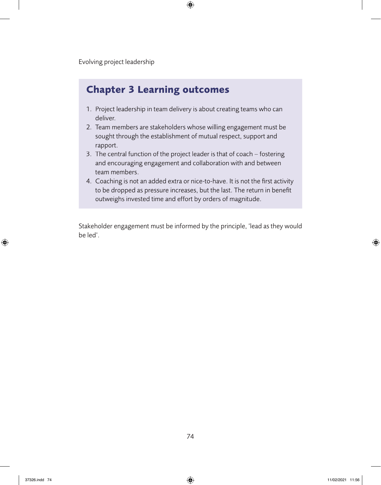### **Chapter 3 Learning outcomes**

1. Project leadership in team delivery is about creating teams who can deliver.

 $\bigoplus$ 

- 2. Team members are stakeholders whose willing engagement must be sought through the establishment of mutual respect, support and rapport.
- 3. The central function of the project leader is that of coach fostering and encouraging engagement and collaboration with and between team members.
- 4. Coaching is not an added extra or nice-to-have. It is not the first activity to be dropped as pressure increases, but the last. The return in benefit outweighs invested time and effort by orders of magnitude.

Stakeholder engagement must be informed by the principle, 'lead as they would be led'.

⊕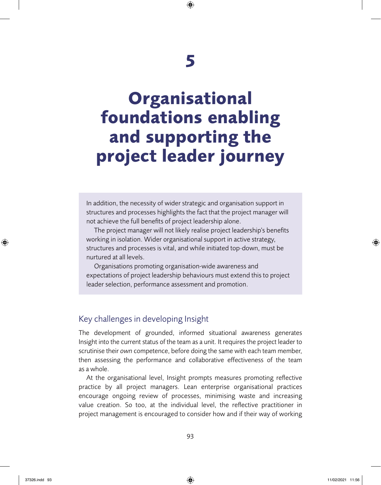## **Organisational foundations enabling and supporting the project leader journey**

In addition, the necessity of wider strategic and organisation support in structures and processes highlights the fact that the project manager will not achieve the full benefits of project leadership alone.

The project manager will not likely realise project leadership's benefits working in isolation. Wider organisational support in active strategy, structures and processes is vital, and while initiated top-down, must be nurtured at all levels.

Organisations promoting organisation-wide awareness and expectations of project leadership behaviours must extend this to project leader selection, performance assessment and promotion.

### Key challenges in developing Insight

The development of grounded, informed situational awareness generates Insight into the current status of the team as a unit. It requires the project leader to scrutinise their *own* competence, before doing the same with each team member, then assessing the performance and collaborative effectiveness of the team as a whole.

At the organisational level, Insight prompts measures promoting reflective practice by all project managers. Lean enterprise organisational practices encourage ongoing review of processes, minimising waste and increasing value creation. So too, at the individual level, the reflective practitioner in project management is encouraged to consider how and if their way of working

⊕

37326.indd 93 11/02/2021 11:56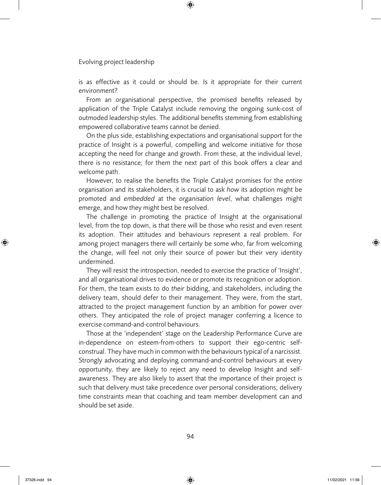is as effective as it could or should be. Is it appropriate for their current environment?

 $\bigoplus$ 

From an organisational perspective, the promised benefits released by application of the Triple Catalyst include removing the ongoing sunk-cost of outmoded leadership styles. The additional benefits stemming from establishing empowered collaborative teams cannot be denied.

On the plus side, establishing expectations and organisational support for the practice of Insight is a powerful, compelling and welcome initiative for those accepting the need for change and growth. From these, at the individual level, there is no resistance; for them the next part of this book offers a clear and welcome path.

However, to realise the benefits the Triple Catalyst promises for the *entire* organisation and its stakeholders, it is crucial to ask *how* its adoption might be promoted and *embedded* at the *organisation level*, what challenges might emerge, and how they might best be resolved.

The challenge in promoting the practice of Insight at the organisational level, from the top down, is that there will be those who resist and even resent its adoption. Their attitudes and behaviours represent a real problem. For among project managers there will certainly be some who, far from welcoming the change, will feel not only their source of power but their very identity undermined.

They will resist the introspection, needed to exercise the practice of 'Insight', and all organisational drives to evidence or promote its recognition or adoption. For them, the team exists to do *their* bidding, and stakeholders, including the delivery team, should defer to their management. They were, from the start, attracted to the project management function by an ambition for power over others. They anticipated the role of project manager conferring a licence to exercise command-and-control behaviours.

Those at the 'independent' stage on the Leadership Performance Curve are in-dependence on esteem-from-others to support their ego-centric selfconstrual. They have much in common with the behaviourstypical of a narcissist. Strongly advocating and deploying command-and-control behaviours at every opportunity, they are likely to reject any need to develop Insight and selfawareness. They are also likely to assert that the importance of their project is such that delivery must take precedence over personal considerations; delivery time constraints mean that coaching and team member development can and should be set aside.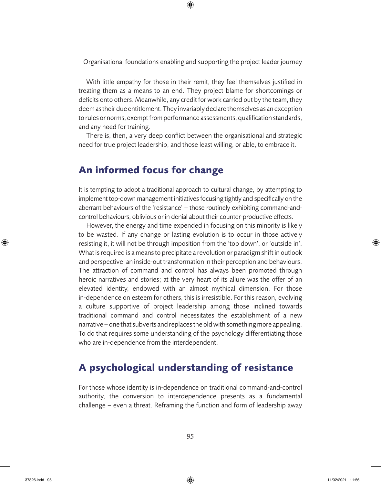Organisational foundations enabling and supporting the project leader journey

 $\bigoplus$ 

With little empathy for those in their remit, they feel themselves justified in treating them as a means to an end. They project blame for shortcomings or deficits onto others. Meanwhile, any credit for work carried out by the team, they deem as their due entitlement. They invariably declare themselves as an exception to rules or norms, exempt from performance assessments, qualification standards, and any need for training.

There is, then, a very deep conflict between the organisational and strategic need for true project leadership, and those least willing, or able, to embrace it.

### **An informed focus for change**

It is tempting to adopt a traditional approach to cultural change, by attempting to implement top-down management initiatives focusing tightly and specifically on the aberrant behaviours of the 'resistance' – those routinely exhibiting command-andcontrol behaviours, oblivious or in denial about their counter-productive effects.

However, the energy and time expended in focusing on this minority is likely to be wasted. If any change or lasting evolution is to occur in those actively resisting it, it will not be through imposition from the 'top down', or 'outside in'. What is required is a means to precipitate a revolution or paradigm shift in outlook and perspective, an inside-out transformation in their perception and behaviours. The attraction of command and control has always been promoted through heroic narratives and stories; at the very heart of its allure was the offer of an elevated identity, endowed with an almost mythical dimension. For those in-dependence on esteem for others, this is irresistible. For this reason, evolving a culture supportive of project leadership among those inclined towards traditional command and control necessitates the establishment of a new narrative – one that subverts and replaces the old with something more appealing. To do that requires some understanding of the psychology differentiating those who are in-dependence from the interdependent.

### **A psychological understanding of resistance**

For those whose identity is in-dependence on traditional command-and-control authority, the conversion to interdependence presents as a fundamental challenge – even a threat. Reframing the function and form of leadership away

⊕